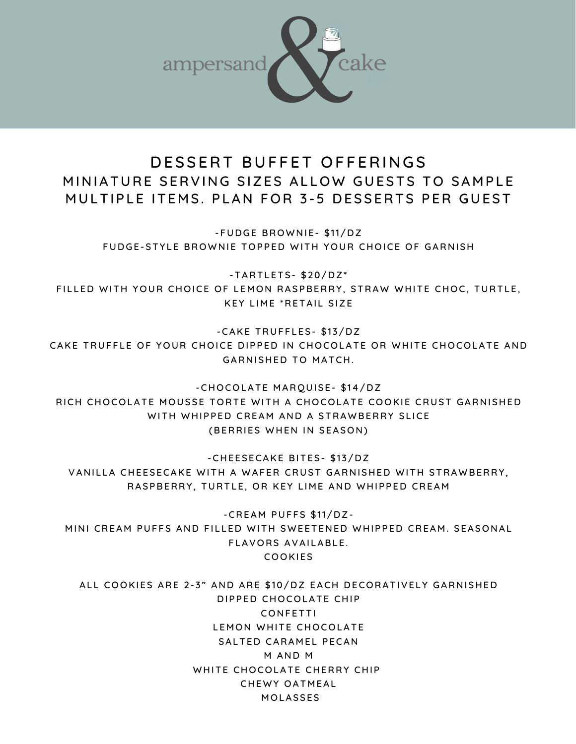

## DESSERT BUFFET OFFERINGS MINIATURE SERVING SIZES ALLOW GUESTS TO SAMPLE MULTIPLE ITEMS. PLAN FOR 3-5 DESSERTS PER GUEST

- FUDGE BROWNIE - \$11/DZ FUDGE-STYLE BROWNIE TOPPED WITH YOUR CHOICE OF GARNISH

 $-TARTLETS- $20/DZ^*$ FILLED WITH YOUR CHOICE OF LEMON RASPBERRY, STRAW WHITE CHOC, TURTLE, KEY LIME \*RETAIL SIZE

-CAKE TRUFFLES- \$13/DZ CAKE TRUFFLE OF YOUR CHOICE DIPPED IN CHOCOLATE OR WHITE CHOCOLATE AND GARNISHED TO MATCH.

-CHOCOLATE MARQUISE- \$14/DZ RICH CHOCOLATE MOUSSE TORTE WITH A CHOCOLATE COOKIE CRUST GARNISHED WITH WHIPPED CREAM AND A STRAWBERRY SLICE (BERRIES WHEN IN SEASON)

-CHEESECAKE BITES- \$13/DZ VANILLA CHEESECAKE WITH A WAFER CRUST GARNISHED WITH STRAWBERRY, RASPBERRY, TURTLE, OR KEY LIME AND WHIPPED CREAM

 $-$ CREAM PUFFS  $$11/DZ-$ MINI CREAM PUFFS AND FILLED WITH SWEETENED WHIPPED CREAM. SEASONAL FLAVORS AVAILABLE. **COOKIES** 

ALL COOKIES ARE 2-3" AND ARE \$10/DZ EACH DECORATIVELY GARNISHED DIPPED CHOCOLATE CHIP **CONFFTTI** LEMON WHITE CHOCOLATE SALTED CARAMEL PECAN **M AND M** WHITE CHOCOLATE CHERRY CHIP CHEWY OATMEAL **MOLASSES**